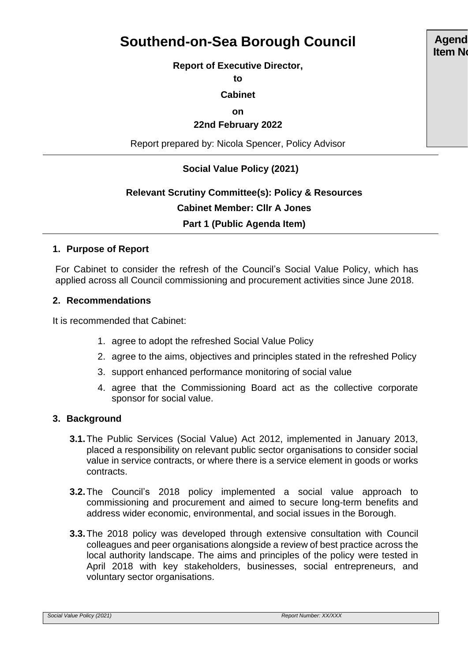# **Southend-on-Sea Borough Council**

#### **Report of Executive Director,**

**to**

#### **Cabinet**

**on**

#### **22nd February 2022**

Report prepared by: Nicola Spencer, Policy Advisor

## **Social Value Policy (2021)**

# **Relevant Scrutiny Committee(s): Policy & Resources Cabinet Member: Cllr A Jones Part 1 (Public Agenda Item)**

#### **1. Purpose of Report**

For Cabinet to consider the refresh of the Council's Social Value Policy, which has applied across all Council commissioning and procurement activities since June 2018.

#### **2. Recommendations**

It is recommended that Cabinet:

- 1. agree to adopt the refreshed Social Value Policy
- 2. agree to the aims, objectives and principles stated in the refreshed Policy
- 3. support enhanced performance monitoring of social value
- 4. agree that the Commissioning Board act as the collective corporate sponsor for social value.

#### **3. Background**

- **3.1.**The Public Services (Social Value) Act 2012, implemented in January 2013, placed a responsibility on relevant public sector organisations to consider social value in service contracts, or where there is a service element in goods or works contracts.
- **3.2.**The Council's 2018 policy implemented a social value approach to commissioning and procurement and aimed to secure long-term benefits and address wider economic, environmental, and social issues in the Borough.
- **3.3.**The 2018 policy was developed through extensive consultation with Council colleagues and peer organisations alongside a review of best practice across the local authority landscape. The aims and principles of the policy were tested in April 2018 with key stakeholders, businesses, social entrepreneurs, and voluntary sector organisations.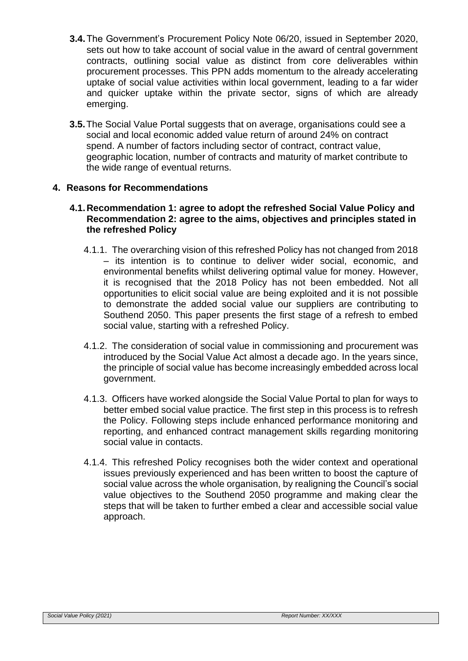- **3.4.**The Government's Procurement Policy Note 06/20, issued in September 2020, sets out how to take account of social value in the award of central government contracts, outlining social value as distinct from core deliverables within procurement processes. This PPN adds momentum to the already accelerating uptake of social value activities within local government, leading to a far wider and quicker uptake within the private sector, signs of which are already emerging.
- **3.5.**The Social Value Portal suggests that on average, organisations could see a social and local economic added value return of around 24% on contract spend. A number of factors including sector of contract, contract value, geographic location, number of contracts and maturity of market contribute to the wide range of eventual returns.

## **4. Reasons for Recommendations**

#### **4.1.Recommendation 1: agree to adopt the refreshed Social Value Policy and Recommendation 2: agree to the aims, objectives and principles stated in the refreshed Policy**

- 4.1.1. The overarching vision of this refreshed Policy has not changed from 2018 – its intention is to continue to deliver wider social, economic, and environmental benefits whilst delivering optimal value for money. However, it is recognised that the 2018 Policy has not been embedded. Not all opportunities to elicit social value are being exploited and it is not possible to demonstrate the added social value our suppliers are contributing to Southend 2050. This paper presents the first stage of a refresh to embed social value, starting with a refreshed Policy.
- 4.1.2. The consideration of social value in commissioning and procurement was introduced by the Social Value Act almost a decade ago. In the years since, the principle of social value has become increasingly embedded across local government.
- 4.1.3. Officers have worked alongside the Social Value Portal to plan for ways to better embed social value practice. The first step in this process is to refresh the Policy. Following steps include enhanced performance monitoring and reporting, and enhanced contract management skills regarding monitoring social value in contacts.
- 4.1.4. This refreshed Policy recognises both the wider context and operational issues previously experienced and has been written to boost the capture of social value across the whole organisation, by realigning the Council's social value objectives to the Southend 2050 programme and making clear the steps that will be taken to further embed a clear and accessible social value approach.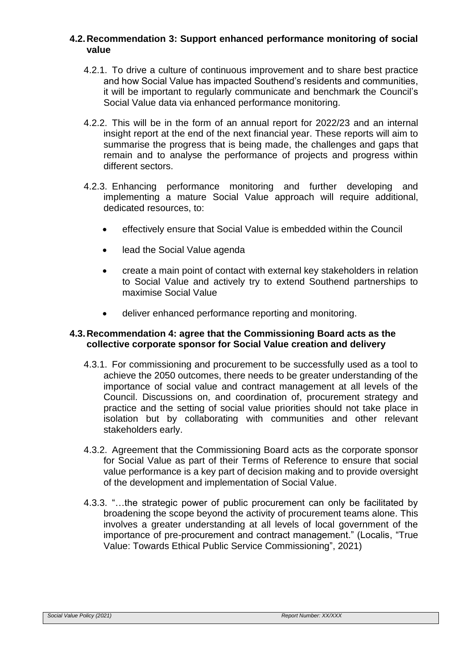#### **4.2.Recommendation 3: Support enhanced performance monitoring of social value**

- 4.2.1. To drive a culture of continuous improvement and to share best practice and how Social Value has impacted Southend's residents and communities, it will be important to regularly communicate and benchmark the Council's Social Value data via enhanced performance monitoring.
- 4.2.2. This will be in the form of an annual report for 2022/23 and an internal insight report at the end of the next financial year. These reports will aim to summarise the progress that is being made, the challenges and gaps that remain and to analyse the performance of projects and progress within different sectors.
- 4.2.3. Enhancing performance monitoring and further developing and implementing a mature Social Value approach will require additional, dedicated resources, to:
	- effectively ensure that Social Value is embedded within the Council
	- lead the Social Value agenda
	- create a main point of contact with external key stakeholders in relation to Social Value and actively try to extend Southend partnerships to maximise Social Value
	- deliver enhanced performance reporting and monitoring.

#### **4.3.Recommendation 4: agree that the Commissioning Board acts as the collective corporate sponsor for Social Value creation and delivery**

- 4.3.1. For commissioning and procurement to be successfully used as a tool to achieve the 2050 outcomes, there needs to be greater understanding of the importance of social value and contract management at all levels of the Council. Discussions on, and coordination of, procurement strategy and practice and the setting of social value priorities should not take place in isolation but by collaborating with communities and other relevant stakeholders early.
- 4.3.2. Agreement that the Commissioning Board acts as the corporate sponsor for Social Value as part of their Terms of Reference to ensure that social value performance is a key part of decision making and to provide oversight of the development and implementation of Social Value.
- 4.3.3. "…the strategic power of public procurement can only be facilitated by broadening the scope beyond the activity of procurement teams alone. This involves a greater understanding at all levels of local government of the importance of pre-procurement and contract management." (Localis, "True Value: Towards Ethical Public Service Commissioning", 2021)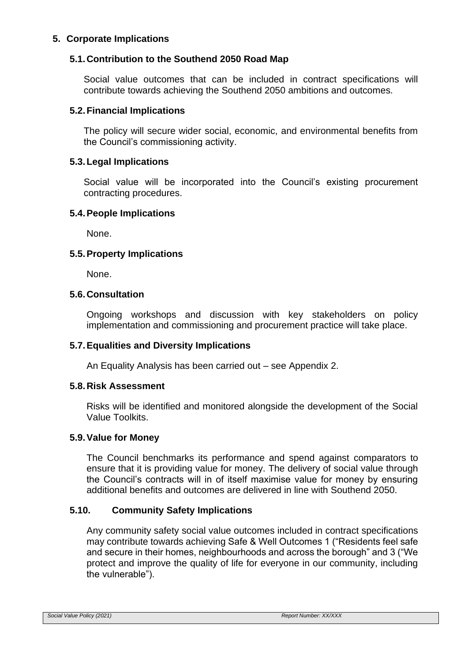## **5. Corporate Implications**

### **5.1.Contribution to the Southend 2050 Road Map**

Social value outcomes that can be included in contract specifications will contribute towards achieving the Southend 2050 ambitions and outcomes.

#### **5.2.Financial Implications**

The policy will secure wider social, economic, and environmental benefits from the Council's commissioning activity.

#### **5.3.Legal Implications**

Social value will be incorporated into the Council's existing procurement contracting procedures.

#### **5.4.People Implications**

None.

#### **5.5.Property Implications**

None.

## **5.6.Consultation**

Ongoing workshops and discussion with key stakeholders on policy implementation and commissioning and procurement practice will take place.

#### **5.7.Equalities and Diversity Implications**

An Equality Analysis has been carried out – see Appendix 2.

#### **5.8.Risk Assessment**

Risks will be identified and monitored alongside the development of the Social Value Toolkits.

#### **5.9.Value for Money**

The Council benchmarks its performance and spend against comparators to ensure that it is providing value for money. The delivery of social value through the Council's contracts will in of itself maximise value for money by ensuring additional benefits and outcomes are delivered in line with Southend 2050.

#### **5.10. Community Safety Implications**

Any community safety social value outcomes included in contract specifications may contribute towards achieving Safe & Well Outcomes 1 ("Residents feel safe and secure in their homes, neighbourhoods and across the borough" and 3 ("We protect and improve the quality of life for everyone in our community, including the vulnerable").